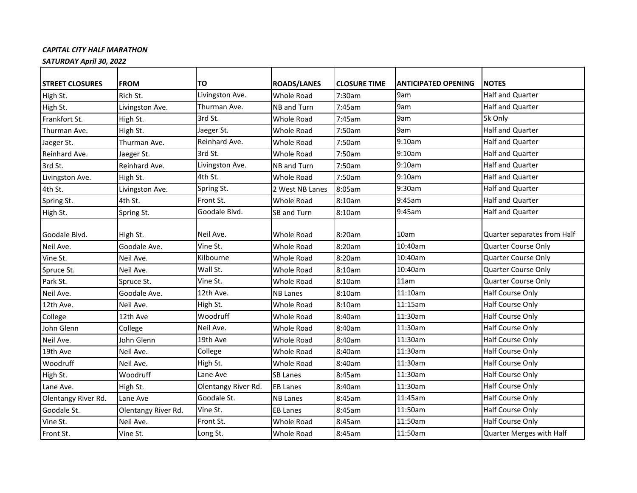## *CAPITAL CITY HALF MARATHON*

*SATURDAY April 30, 2022*

| <b>STREET CLOSURES</b> | <b>FROM</b>              | TO                  | <b>ROADS/LANES</b> | <b>CLOSURE TIME</b> | <b>ANTICIPATED OPENING</b> | <b>NOTES</b>                |
|------------------------|--------------------------|---------------------|--------------------|---------------------|----------------------------|-----------------------------|
| High St.               | Rich St.                 | Livingston Ave.     | <b>Whole Road</b>  | 7:30am              | 9am                        | <b>Half and Quarter</b>     |
| High St.               | Livingston Ave.          | Thurman Ave.        | NB and Turn        | 7:45am              | 9am                        | Half and Quarter            |
| Frankfort St.          | High St.                 | 3rd St.             | <b>Whole Road</b>  | 7:45am              | 9am                        | 5k Only                     |
| Thurman Ave.           | High St.                 | Jaeger St.          | <b>Whole Road</b>  | 7:50am              | 9am                        | Half and Quarter            |
| Jaeger St.             | Thurman Ave.             | Reinhard Ave.       | Whole Road         | 7:50am              | 9:10am                     | Half and Quarter            |
| Reinhard Ave.          | Jaeger St.               | 3rd St.             | <b>Whole Road</b>  | 7:50am              | 9:10am                     | Half and Quarter            |
| 3rd St.                | Reinhard Ave.            | Livingston Ave.     | NB and Turn        | 7:50am              | 9:10am                     | Half and Quarter            |
| Livingston Ave.        | High St.                 | 4th St.             | Whole Road         | 7:50am              | 9:10am                     | Half and Quarter            |
| 4th St.                | Livingston Ave.          | Spring St.          | 2 West NB Lanes    | 8:05am              | 9:30am                     | Half and Quarter            |
| Spring St.             | 4th St.                  | Front St.           | Whole Road         | 8:10am              | 9:45am                     | <b>Half and Quarter</b>     |
| High St.               | Spring St.               | Goodale Blvd.       | SB and Turn        | 8:10am              | 9:45am                     | Half and Quarter            |
| Goodale Blvd.          |                          | Neil Ave.           | Whole Road         | 8:20am              | 10am                       | Quarter separates from Half |
| Neil Ave.              | High St.<br>Goodale Ave. | Vine St.            | <b>Whole Road</b>  | 8:20am              | 10:40am                    | <b>Quarter Course Only</b>  |
|                        |                          | Kilbourne           |                    |                     | 10:40am                    | <b>Quarter Course Only</b>  |
| Vine St.               | Neil Ave.                |                     | <b>Whole Road</b>  | 8:20am              |                            |                             |
| Spruce St.             | Neil Ave.                | Wall St.            | Whole Road         | 8:10am              | 10:40am                    | <b>Quarter Course Only</b>  |
| Park St.               | Spruce St.               | Vine St.            | Whole Road         | 8:10am              | 11am                       | <b>Quarter Course Only</b>  |
| Neil Ave.              | Goodale Ave.             | 12th Ave.           | <b>NB Lanes</b>    | 8:10am              | 11:10am                    | Half Course Only            |
| 12th Ave.              | Neil Ave.                | High St.            | <b>Whole Road</b>  | 8:10am              | 11:15am                    | Half Course Only            |
| College                | 12th Ave                 | Woodruff            | Whole Road         | 8:40am              | 11:30am                    | Half Course Only            |
| John Glenn             | College                  | Neil Ave.           | <b>Whole Road</b>  | 8:40am              | 11:30am                    | <b>Half Course Only</b>     |
| Neil Ave.              | John Glenn               | 19th Ave            | <b>Whole Road</b>  | 8:40am              | 11:30am                    | Half Course Only            |
| 19th Ave               | Neil Ave.                | College             | Whole Road         | 8:40am              | 11:30am                    | <b>Half Course Only</b>     |
| Woodruff               | Neil Ave.                | High St.            | <b>Whole Road</b>  | 8:40am              | 11:30am                    | Half Course Only            |
| High St.               | Woodruff                 | Lane Ave            | <b>SB Lanes</b>    | 8:45am              | 11:30am                    | <b>Half Course Only</b>     |
| Lane Ave.              | High St.                 | Olentangy River Rd. | <b>EB Lanes</b>    | 8:40am              | 11:30am                    | Half Course Only            |
| Olentangy River Rd.    | Lane Ave                 | Goodale St.         | <b>NB Lanes</b>    | 8:45am              | 11:45am                    | Half Course Only            |
| Goodale St.            | Olentangy River Rd.      | Vine St.            | <b>EB Lanes</b>    | 8:45am              | 11:50am                    | <b>Half Course Only</b>     |
| Vine St.               | Neil Ave.                | Front St.           | <b>Whole Road</b>  | 8:45am              | 11:50am                    | <b>Half Course Only</b>     |
| Front St.              | Vine St.                 | Long St.            | <b>Whole Road</b>  | 8:45am              | 11:50am                    | Quarter Merges with Half    |